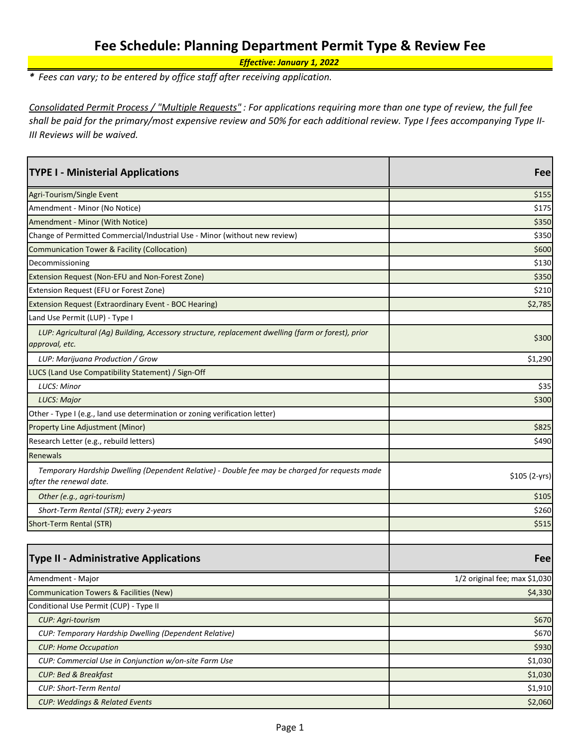## **Fee Schedule: Planning Department Permit Type & Review Fee**

*Effective: January 1, 2022*

*\* Fees can vary; to be entered by office staff after receiving application.*

*Consolidated Permit Process / "Multiple Requests" : For applications requiring more than one type of review, the full fee shall be paid for the primary/most expensive review and 50% for each additional review. Type I fees accompanying Type II-III Reviews will be waived.*

| <b>TYPE I - Ministerial Applications</b>                                                                                  | Fee                           |
|---------------------------------------------------------------------------------------------------------------------------|-------------------------------|
| Agri-Tourism/Single Event                                                                                                 | \$155                         |
| Amendment - Minor (No Notice)                                                                                             | \$175                         |
| Amendment - Minor (With Notice)                                                                                           | \$350                         |
| Change of Permitted Commercial/Industrial Use - Minor (without new review)                                                | \$350                         |
| Communication Tower & Facility (Collocation)                                                                              | \$600                         |
| Decommissioning                                                                                                           | \$130                         |
| Extension Request (Non-EFU and Non-Forest Zone)                                                                           | \$350                         |
| Extension Request (EFU or Forest Zone)                                                                                    | \$210                         |
| Extension Request (Extraordinary Event - BOC Hearing)                                                                     | \$2,785                       |
| Land Use Permit (LUP) - Type I                                                                                            |                               |
| LUP: Agricultural (Ag) Building, Accessory structure, replacement dwelling (farm or forest), prior<br>approval, etc.      | \$300                         |
| LUP: Marijuana Production / Grow                                                                                          | \$1,290                       |
| LUCS (Land Use Compatibility Statement) / Sign-Off                                                                        |                               |
| <b>LUCS: Minor</b>                                                                                                        | \$35                          |
| LUCS: Major                                                                                                               | \$300                         |
| Other - Type I (e.g., land use determination or zoning verification letter)                                               |                               |
| Property Line Adjustment (Minor)                                                                                          | \$825                         |
| Research Letter (e.g., rebuild letters)                                                                                   | \$490                         |
| Renewals                                                                                                                  |                               |
| Temporary Hardship Dwelling (Dependent Relative) - Double fee may be charged for requests made<br>after the renewal date. | $$105 (2-yrs)$                |
| Other (e.g., agri-tourism)                                                                                                | \$105                         |
| Short-Term Rental (STR); every 2-years                                                                                    | \$260                         |
| Short-Term Rental (STR)                                                                                                   | \$515                         |
|                                                                                                                           |                               |
| <b>Type II - Administrative Applications</b>                                                                              | Fee                           |
| Amendment - Major                                                                                                         | 1/2 original fee; max \$1,030 |
| Communication Towers & Facilities (New)                                                                                   | \$4,330                       |
| Conditional Use Permit (CUP) - Type II                                                                                    |                               |
| <b>CUP: Agri-tourism</b>                                                                                                  | \$670                         |
| CUP: Temporary Hardship Dwelling (Dependent Relative)                                                                     | \$670                         |
| <b>CUP: Home Occupation</b>                                                                                               | \$930                         |
| CUP: Commercial Use in Conjunction w/on-site Farm Use                                                                     | \$1,030                       |
| <b>CUP: Bed &amp; Breakfast</b>                                                                                           | \$1,030                       |
| <b>CUP: Short-Term Rental</b>                                                                                             | \$1,910                       |
| <b>CUP: Weddings &amp; Related Events</b>                                                                                 | \$2,060                       |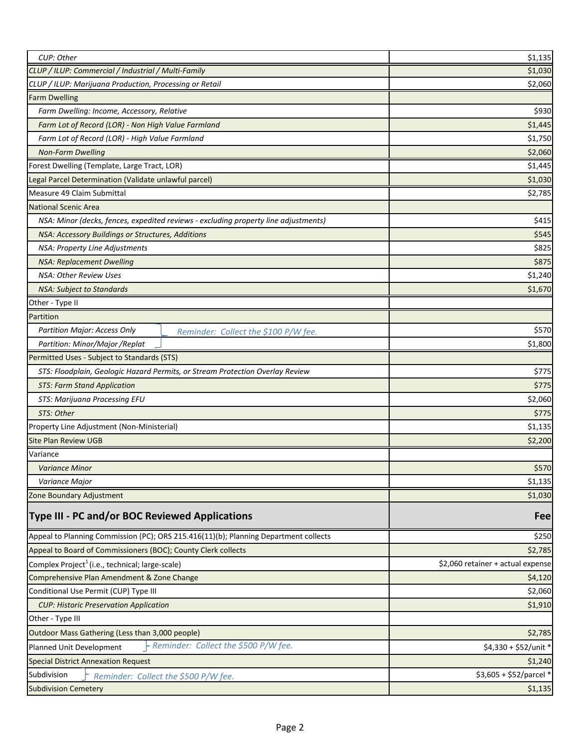| CUP: Other                                                                           | \$1,135                           |
|--------------------------------------------------------------------------------------|-----------------------------------|
| CLUP / ILUP: Commercial / Industrial / Multi-Family                                  | \$1,030                           |
| CLUP / ILUP: Marijuana Production, Processing or Retail                              | \$2,060                           |
| <b>Farm Dwelling</b>                                                                 |                                   |
| Farm Dwelling: Income, Accessory, Relative                                           | \$930                             |
| Farm Lot of Record (LOR) - Non High Value Farmland                                   | \$1,445                           |
| Farm Lot of Record (LOR) - High Value Farmland                                       | \$1,750                           |
| <b>Non-Farm Dwelling</b>                                                             | \$2,060                           |
| Forest Dwelling (Template, Large Tract, LOR)                                         | \$1,445                           |
| Legal Parcel Determination (Validate unlawful parcel)                                | \$1,030                           |
| Measure 49 Claim Submittal                                                           | \$2,785                           |
| <b>National Scenic Area</b>                                                          |                                   |
| NSA: Minor (decks, fences, expedited reviews - excluding property line adjustments)  | \$415                             |
| NSA: Accessory Buildings or Structures, Additions                                    | \$545                             |
| NSA: Property Line Adjustments                                                       | \$825                             |
| <b>NSA: Replacement Dwelling</b>                                                     | \$875                             |
| NSA: Other Review Uses                                                               | \$1,240                           |
| <b>NSA: Subject to Standards</b>                                                     | \$1,670                           |
| Other - Type II                                                                      |                                   |
| Partition                                                                            |                                   |
| Partition Major: Access Only<br>Reminder: Collect the \$100 P/W fee.                 | \$570                             |
| Partition: Minor/Major /Replat                                                       | \$1,800                           |
| Permitted Uses - Subject to Standards (STS)                                          |                                   |
| STS: Floodplain, Geologic Hazard Permits, or Stream Protection Overlay Review        | \$775                             |
| <b>STS: Farm Stand Application</b>                                                   | \$775                             |
| STS: Marijuana Processing EFU                                                        | \$2,060                           |
| STS: Other                                                                           | \$775                             |
| Property Line Adjustment (Non-Ministerial)                                           | \$1,135                           |
| <b>Site Plan Review UGB</b>                                                          | \$2,200                           |
| Variance                                                                             |                                   |
| <b>Variance Minor</b>                                                                | \$570                             |
| Variance Major                                                                       | \$1,135                           |
| Zone Boundary Adjustment                                                             | \$1,030                           |
| Type III - PC and/or BOC Reviewed Applications                                       | Fee                               |
| Appeal to Planning Commission (PC); ORS 215.416(11)(b); Planning Department collects | \$250                             |
| Appeal to Board of Commissioners (BOC); County Clerk collects                        | \$2,785                           |
| Complex Project <sup>1</sup> (i.e., technical; large-scale)                          | \$2,060 retainer + actual expense |
| Comprehensive Plan Amendment & Zone Change                                           | \$4,120                           |
| Conditional Use Permit (CUP) Type III                                                | \$2,060                           |
| <b>CUP: Historic Preservation Application</b>                                        | \$1,910                           |
| Other - Type III                                                                     |                                   |
| Outdoor Mass Gathering (Less than 3,000 people)                                      | \$2,785                           |
| Reminder: Collect the \$500 P/W fee.<br>Planned Unit Development                     | \$4,330 + \$52/unit *             |
| <b>Special District Annexation Request</b>                                           | \$1,240                           |
| Subdivision<br>Reminder: Collect the \$500 P/W fee.                                  | \$3,605 + \$52/parcel *           |
| <b>Subdivision Cemetery</b>                                                          | \$1,135                           |